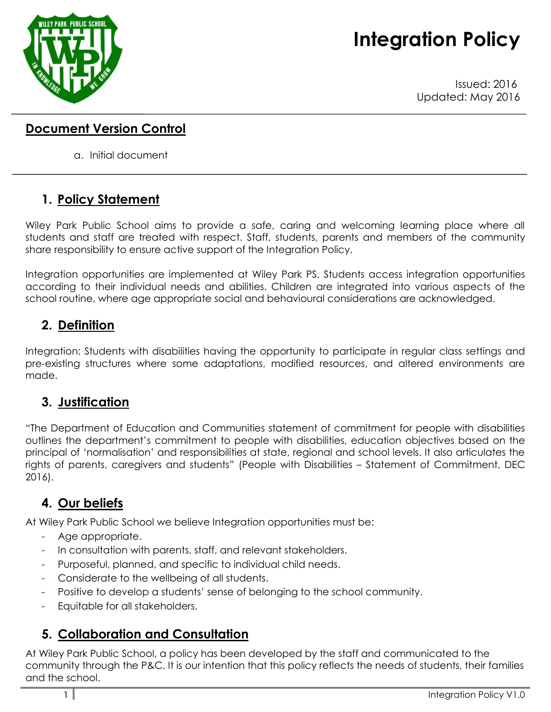# **Integration Policy**



Issued: 2016 Updated: May 2016

#### **Document Version Control**

a. Initial document

# **1. Policy Statement**

Wiley Park Public School aims to provide a safe, caring and welcoming learning place where all students and staff are treated with respect. Staff, students, parents and members of the community share responsibility to ensure active support of the Integration Policy.

Integration opportunities are implemented at Wiley Park PS. Students access integration opportunities according to their individual needs and abilities. Children are integrated into various aspects of the school routine, where age appropriate social and behavioural considerations are acknowledged.

# **2. Definition**

Integration: Students with disabilities having the opportunity to participate in regular class settings and pre-existing structures where some adaptations, modified resources, and altered environments are made.

#### **3. Justification**

"The Department of Education and Communities statement of commitment for people with disabilities outlines the department's commitment to people with disabilities, education objectives based on the principal of 'normalisation' and responsibilities at state, regional and school levels. It also articulates the rights of parents, caregivers and students" (People with Disabilities – Statement of Commitment, DEC 2016).

# **4. Our beliefs**

At Wiley Park Public School we believe Integration opportunities must be:

- Age appropriate.
- In consultation with parents, staff, and relevant stakeholders.
- Purposeful, planned, and specific to individual child needs.
- Considerate to the wellbeing of all students.
- Positive to develop a students' sense of belonging to the school community.
- Equitable for all stakeholders.

# **5. Collaboration and Consultation**

At Wiley Park Public School, a policy has been developed by the staff and communicated to the community through the P&C. It is our intention that this policy reflects the needs of students, their families and the school.